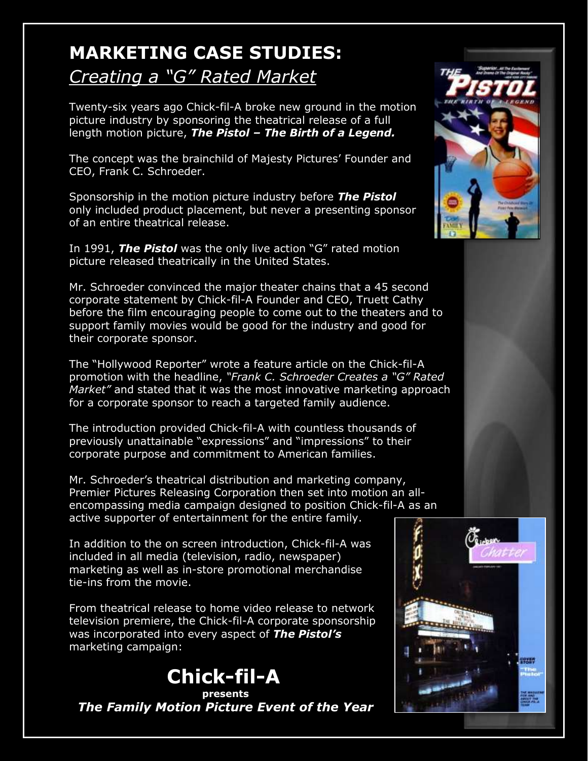## **MARKETING CASE STUDIES:**

## *Creating a "G" Rated Market*

Twenty-six years ago Chick-fil-A broke new ground in the motion picture industry by sponsoring the theatrical release of a full length motion picture, *The Pistol – The Birth of a Legend.* 

The concept was the brainchild of Majesty Pictures' Founder and CEO, Frank C. Schroeder.

Sponsorship in the motion picture industry before *The Pistol* only included product placement, but never a presenting sponsor of an entire theatrical release.

In 1991, *The Pistol* was the only live action "G" rated motion picture released theatrically in the United States.

Mr. Schroeder convinced the major theater chains that a 45 second corporate statement by Chick-fil-A Founder and CEO, Truett Cathy before the film encouraging people to come out to the theaters and to support family movies would be good for the industry and good for their corporate sponsor.

The "Hollywood Reporter" wrote a feature article on the Chick-fil-A promotion with the headline, *"Frank C. Schroeder Creates a "G" Rated Market"* and stated that it was the most innovative marketing approach for a corporate sponsor to reach a targeted family audience.

The introduction provided Chick-fil-A with countless thousands of previously unattainable "expressions" and "impressions" to their corporate purpose and commitment to American families.

Mr. Schroeder's theatrical distribution and marketing company, Premier Pictures Releasing Corporation then set into motion an allencompassing media campaign designed to position Chick-fil-A as an active supporter of entertainment for the entire family.

In addition to the on screen introduction, Chick-fil-A was included in all media (television, radio, newspaper) marketing as well as in-store promotional merchandise tie-ins from the movie.

From theatrical release to home video release to network television premiere, the Chick-fil-A corporate sponsorship was incorporated into every aspect of *The Pistol's* marketing campaign:



*The Family Motion Picture Event of the Year*